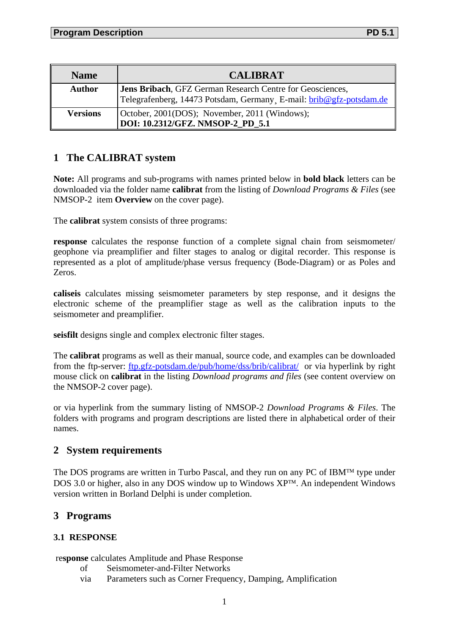| <b>Name</b>     | <b>CALIBRAT</b>                                                                                                                 |
|-----------------|---------------------------------------------------------------------------------------------------------------------------------|
| <b>Author</b>   | Jens Bribach, GFZ German Research Centre for Geosciences,<br>Telegrafenberg, 14473 Potsdam, Germany E-mail: brib@gfz-potsdam.de |
| <b>Versions</b> | October, 2001(DOS); November, 2011 (Windows);<br>DOI: 10.2312/GFZ. NMSOP-2 PD 5.1                                               |

# **1 The CALIBRAT system**

**Note:** All programs and sub-programs with names printed below in **bold black** letters can be downloaded via the folder name **calibrat** from the listing of *Download Programs & Files* (see NMSOP-2 item **Overview** on the cover page).

The **calibrat** system consists of three programs:

**response** calculates the response function of a complete signal chain from seismometer/ geophone via preamplifier and filter stages to analog or digital recorder. This response is represented as a plot of amplitude/phase versus frequency (Bode-Diagram) or as Poles and Zeros.

**caliseis** calculates missing seismometer parameters by step response, and it designs the electronic scheme of the preamplifier stage as well as the calibration inputs to the seismometer and preamplifier.

**seisfilt** designs single and complex electronic filter stages.

The **calibrat** programs as well as their manual, source code, and examples can be downloaded from the ftp-server: [ftp.gfz-potsdam.de/pub/home/dss/brib/calibrat/](ftp://ftp.gfz-potsdam.de/pub/home/dss/brib/calibrat/) or via hyperlink by right mouse click on **calibrat** in the listing *Download programs and files* (see content overview on the NMSOP-2 cover page).

or via hyperlink from the summary listing of NMSOP-2 *Download Programs & Files*. The folders with programs and program descriptions are listed there in alphabetical order of their names.

# **2 System requirements**

The DOS programs are written in Turbo Pascal, and they run on any PC of IBM<sup>TM</sup> type under DOS 3.0 or higher, also in any DOS window up to Windows  $XP^{TM}$ . An independent Windows version written in Borland Delphi is under completion.

# **3 Programs**

### **3.1 RESPONSE**

### re**sponse** calculates Amplitude and Phase Response

- of Seismometer-and-Filter Networks
- via Parameters such as Corner Frequency, Damping, Amplification